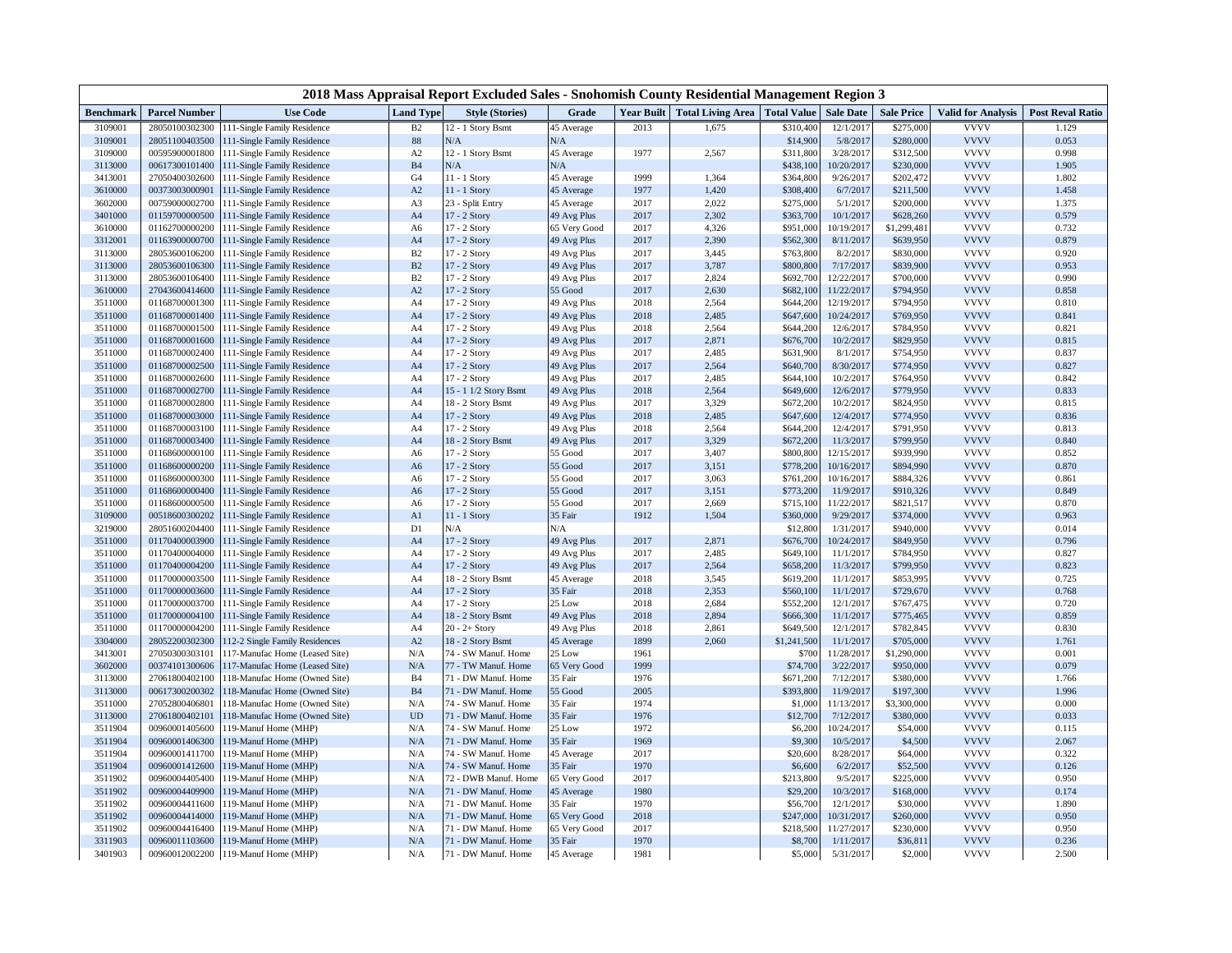| 2018 Mass Appraisal Report Excluded Sales - Snohomish County Residential Management Region 3 |                      |                                |                  |                        |              |                   |                                             |             |            |                   |                           |                         |
|----------------------------------------------------------------------------------------------|----------------------|--------------------------------|------------------|------------------------|--------------|-------------------|---------------------------------------------|-------------|------------|-------------------|---------------------------|-------------------------|
| <b>Benchmark</b>                                                                             | <b>Parcel Number</b> | <b>Use Code</b>                | <b>Land Type</b> | <b>Style (Stories)</b> | Grade        | <b>Year Built</b> | Total Living Area   Total Value   Sale Date |             |            | <b>Sale Price</b> | <b>Valid for Analysis</b> | <b>Post Reval Ratio</b> |
| 3109001                                                                                      | 28050100302300       | 111-Single Family Residence    | B2               | 12 - 1 Story Bsmt      | 45 Average   | 2013              | 1,675                                       | \$310,400   | 12/1/2017  | \$275,000         | <b>VVVV</b>               | 1.129                   |
| 3109001                                                                                      | 28051100403500       | 111-Single Family Residence    | 88               | $\rm N/A$              | N/A          |                   |                                             | \$14,900    | 5/8/201    | \$280,000         | <b>VVVV</b>               | 0.053                   |
| 3109000                                                                                      | 00595900001800       | 111-Single Family Residence    | A2               | 12 - 1 Story Bsmt      | 45 Average   | 1977              | 2,567                                       | \$311,800   | 3/28/2017  | \$312,500         | <b>VVVV</b>               | 0.998                   |
| 3113000                                                                                      | 00617300101400       | 111-Single Family Residence    | B <sub>4</sub>   | $\rm N/A$              | $\rm N/A$    |                   |                                             | \$438,100   | 10/20/2017 | \$230,000         | <b>VVVV</b>               | 1.905                   |
| 3413001                                                                                      | 27050400302600       | 111-Single Family Residence    | G <sub>4</sub>   | 11 - 1 Story           | 45 Average   | 1999              | 1,364                                       | \$364,800   | 9/26/2017  | \$202,472         | <b>VVVV</b>               | 1.802                   |
| 3610000                                                                                      | 00373003000901       | 111-Single Family Residence    | $\mathbf{A2}$    | 11 - 1 Story           | 45 Average   | 1977              | 1,420                                       | \$308,400   | 6/7/2017   | \$211,500         | <b>VVVV</b>               | 1.458                   |
| 3602000                                                                                      | 00759000002700       | 111-Single Family Residence    | A3               | 23 - Split Entry       | 45 Average   | 2017              | 2,022                                       | \$275,000   | 5/1/2017   | \$200,000         | <b>VVVV</b>               | 1.375                   |
| 3401000                                                                                      | 01159700000500       | 111-Single Family Residence    | A <sub>4</sub>   | 17 - 2 Story           | 49 Avg Plus  | 2017              | 2,302                                       | \$363,700   | 10/1/2017  | \$628,260         | <b>VVVV</b>               | 0.579                   |
| 3610000                                                                                      | 01162700000200       | 111-Single Family Residence    | A6               | 17 - 2 Story           | 65 Very Good | 2017              | 4,326                                       | \$951,000   | 10/19/2017 | \$1,299,481       | <b>VVVV</b>               | 0.732                   |
| 3312001                                                                                      | 01163900000700       | 111-Single Family Residence    | A <sub>4</sub>   | 17 - 2 Story           | 49 Avg Plus  | 2017              | 2,390                                       | \$562,300   | 8/11/2017  | \$639,950         | <b>VVVV</b>               | 0.879                   |
| 3113000                                                                                      | 28053600106200       | 111-Single Family Residence    | B2               | 17 - 2 Story           | 49 Avg Plus  | 2017              | 3,445                                       | \$763,800   | 8/2/201    | \$830,000         | <b>VVVV</b>               | 0.920                   |
| 3113000                                                                                      | 28053600106300       | 111-Single Family Residence    | B2               | 17 - 2 Story           | 49 Avg Plus  | 2017              | 3,787                                       | \$800,800   | 7/17/2017  | \$839,900         | <b>VVVV</b>               | 0.953                   |
| 3113000                                                                                      | 28053600106400       | 111-Single Family Residence    | B2               | 17 - 2 Story           | 49 Avg Plus  | 2017              | 2,824                                       | \$692,700   | 12/22/2017 | \$700,000         | <b>VVVV</b>               | 0.990                   |
| 3610000                                                                                      | 27043600414600       | 111-Single Family Residence    | A2               | 17 - 2 Story           | 55 Good      | 2017              | 2,630                                       | \$682,100   | 11/22/2017 | \$794,950         | <b>VVVV</b>               | 0.858                   |
| 3511000                                                                                      | 01168700001300       | 111-Single Family Residence    | A <sub>4</sub>   | 17 - 2 Story           | 49 Avg Plus  | 2018              | 2,564                                       | \$644,200   | 12/19/2017 | \$794,950         | <b>VVVV</b>               | 0.810                   |
| 3511000                                                                                      | 01168700001400       | 111-Single Family Residence    | A <sub>4</sub>   | 17 - 2 Story           | 49 Avg Plus  | 2018              | 2,485                                       | \$647,60    | 10/24/2017 | \$769,950         | <b>VVVV</b>               | 0.841                   |
| 3511000                                                                                      | 01168700001500       | 111-Single Family Residence    | A <sub>4</sub>   | 17 - 2 Story           | 49 Avg Plus  | 2018              | 2,564                                       | \$644,200   | 12/6/2017  | \$784,950         | <b>VVVV</b>               | 0.821                   |
| 3511000                                                                                      | 01168700001600       | 111-Single Family Residence    | A <sub>4</sub>   | 17 - 2 Story           | 49 Avg Plus  | 2017              | 2,871                                       | \$676,700   | 10/2/2017  | \$829,950         | <b>VVVV</b>               | 0.815                   |
| 3511000                                                                                      | 01168700002400       | 111-Single Family Residence    | A <sub>4</sub>   | 17 - 2 Story           | 49 Avg Plus  | 2017              | 2,485                                       | \$631,90    | 8/1/201    | \$754,950         | <b>VVVV</b>               | 0.837                   |
| 3511000                                                                                      | 01168700002500       | 111-Single Family Residence    | A <sub>4</sub>   | 17 - 2 Story           | 49 Avg Plus  | 2017              | 2,564                                       | \$640,700   | 8/30/2017  | \$774,950         | <b>VVVV</b>               | 0.827                   |
| 3511000                                                                                      | 01168700002600       | 111-Single Family Residence    | A <sub>4</sub>   | 17 - 2 Story           | 49 Avg Plus  | 2017              | 2,485                                       | \$644,10    | 10/2/2017  | \$764,950         | <b>VVVV</b>               | 0.842                   |
| 3511000                                                                                      | 01168700002700       | 111-Single Family Residence    | A <sub>4</sub>   | 15 - 1 1/2 Story Bsmt  | 49 Avg Plus  | 2018              | 2,564                                       | \$649,600   | 12/6/2017  | \$779,950         | <b>VVVV</b>               | 0.833                   |
| 3511000                                                                                      | 01168700002800       | 111-Single Family Residence    | A <sub>4</sub>   | 18 - 2 Story Bsmt      | 49 Avg Plus  | 2017              | 3,329                                       | \$672,200   | 10/2/2017  | \$824,950         | <b>VVVV</b>               | 0.815                   |
| 3511000                                                                                      | 01168700003000       | 111-Single Family Residence    | A <sub>4</sub>   | 17 - 2 Story           | 49 Avg Plus  | 2018              | 2,485                                       | \$647,600   | 12/4/2017  | \$774,950         | <b>VVVV</b>               | 0.836                   |
| 3511000                                                                                      | 01168700003100       | 111-Single Family Residence    | A <sub>4</sub>   | 17 - 2 Story           | 49 Avg Plus  | 2018              | 2,564                                       | \$644,200   | 12/4/2017  | \$791,950         | <b>VVVV</b>               | 0.813                   |
| 3511000                                                                                      | 01168700003400       | 111-Single Family Residence    | A <sub>4</sub>   | 18 - 2 Story Bsmt      | 49 Avg Plus  | 2017              | 3,329                                       | \$672,200   | 11/3/2017  | \$799,950         | <b>VVVV</b>               | 0.840                   |
| 3511000                                                                                      | 01168600000100       | 111-Single Family Residence    | A6               | 17 - 2 Story           | 55 Good      | 2017              | 3,407                                       | \$800,800   | 12/15/2017 | \$939,990         | <b>VVVV</b>               | 0.852                   |
| 3511000                                                                                      | 01168600000200       | 111-Single Family Residence    | A <sub>6</sub>   | 17 - 2 Story           | 55 Good      | 2017              | 3,151                                       | \$778,200   | 10/16/2017 | \$894,990         | <b>VVVV</b>               | 0.870                   |
| 3511000                                                                                      | 01168600000300       | 111-Single Family Residence    | A6               | 17 - 2 Story           | 55 Good      | 2017              | 3,063                                       | \$761,200   | 10/16/2017 | \$884,326         | <b>VVVV</b>               | 0.861                   |
| 3511000                                                                                      | 01168600000400       | 111-Single Family Residence    | A <sub>6</sub>   | 17 - 2 Story           | 55 Good      | 2017              | 3,151                                       | \$773,200   | 11/9/2017  | \$910,326         | <b>VVVV</b>               | 0.849                   |
| 3511000                                                                                      | 01168600000500       | 111-Single Family Residence    | A6               | 17 - 2 Story           | 55 Good      | 2017              | 2,669                                       | \$715,100   | 11/22/2017 | \$821,517         | <b>VVVV</b>               | 0.870                   |
| 3109000                                                                                      | 00518600300202       | 111-Single Family Residence    | A1               | 11 - 1 Story           | 35 Fair      | 1912              | 1,504                                       | \$360,000   | 9/29/2017  | \$374,000         | <b>VVVV</b>               | 0.963                   |
| 3219000                                                                                      | 28051600204400       | 111-Single Family Residence    | D1               | N/A                    | N/A          |                   |                                             | \$12,800    | 1/31/2017  | \$940,000         | <b>VVVV</b>               | 0.014                   |
| 3511000                                                                                      | 01170400003900       | 111-Single Family Residence    | A <sub>4</sub>   | 17 - 2 Story           | 49 Avg Plus  | 2017              | 2,871                                       | \$676,700   | 10/24/2017 | \$849,950         | <b>VVVV</b>               | 0.796                   |
| 3511000                                                                                      | 01170400004000       | 111-Single Family Residence    | A <sub>4</sub>   | 17 - 2 Story           | 49 Avg Plus  | 2017              | 2,485                                       | \$649,100   | 11/1/2017  | \$784,950         | <b>VVVV</b>               | 0.827                   |
| 3511000                                                                                      | 01170400004200       | 111-Single Family Residence    | A <sub>4</sub>   | 17 - 2 Story           | 49 Avg Plus  | 2017              | 2,564                                       | \$658,200   | 11/3/2017  | \$799,950         | <b>VVVV</b>               | 0.823                   |
| 3511000                                                                                      | 01170000003500       | 111-Single Family Residence    | A <sub>4</sub>   | 18 - 2 Story Bsmt      | 45 Average   | 2018              | 3,545                                       | \$619,200   | 11/1/2017  | \$853,995         | <b>VVVV</b>               | 0.725                   |
| 3511000                                                                                      | 01170000003600       | 111-Single Family Residence    | A <sub>4</sub>   | 17 - 2 Story           | 35 Fair      | 2018              | 2,353                                       | \$560,100   | 11/1/2017  | \$729,670         | <b>VVVV</b>               | 0.768                   |
| 3511000                                                                                      | 01170000003700       | 111-Single Family Residence    | A <sub>4</sub>   | 17 - 2 Story           | 25 Low       | 2018              | 2,684                                       | \$552,200   | 12/1/2017  | \$767,475         | <b>VVVV</b>               | 0.720                   |
| 3511000                                                                                      | 01170000004100       | 111-Single Family Residence    | A <sub>4</sub>   | 18 - 2 Story Bsmt      | 49 Avg Plus  | 2018              | 2,894                                       | \$666,300   | 11/1/2017  | \$775,465         | <b>VVVV</b>               | 0.859                   |
| 3511000                                                                                      | 01170000004200       | 111-Single Family Residence    | A4               | $20 - 2 +$ Story       | 49 Avg Plus  | 2018              | 2,861                                       | \$649,50    | 12/1/2017  | \$782,845         | <b>VVVV</b>               | 0.830                   |
| 3304000                                                                                      | 28052200302300       | 112-2 Single Family Residences | A2               | 18 - 2 Story Bsmt      | 45 Average   | 1899              | 2,060                                       | \$1,241,500 | 11/1/2017  | \$705,000         | <b>VVVV</b>               | 1.761                   |
| 3413001                                                                                      | 27050300303101       | 117-Manufac Home (Leased Site) | ${\bf N/A}$      | 74 - SW Manuf. Home    | 25 Low       | 1961              |                                             | \$700       | 11/28/2017 | \$1,290,000       | <b>VVVV</b>               | 0.001                   |
| 3602000                                                                                      | 00374101300606       | 117-Manufac Home (Leased Site) | N/A              | 77 - TW Manuf. Home    | 65 Very Good | 1999              |                                             | \$74,700    | 3/22/2017  | \$950,000         | <b>VVVV</b>               | 0.079                   |
| 3113000                                                                                      | 27061800402100       | 118-Manufac Home (Owned Site)  | <b>B4</b>        | 71 - DW Manuf. Home    | 35 Fair      | 1976              |                                             | \$671,200   | 7/12/2017  | \$380,000         | <b>VVVV</b>               | 1.766                   |
| 3113000                                                                                      | 00617300200302       | 118-Manufac Home (Owned Site)  | <b>B4</b>        | 71 - DW Manuf. Home    | 55 Good      | 2005              |                                             | \$393,800   | 11/9/2017  | \$197,300         | <b>VVVV</b>               | 1.996                   |
| 3511000                                                                                      | 27052800406801       | 118-Manufac Home (Owned Site)  | N/A              | 74 - SW Manuf. Home    | 35 Fair      | 1974              |                                             | \$1,000     | 11/13/2017 | \$3,300,000       | <b>VVVV</b>               | 0.000                   |
| 3113000                                                                                      | 27061800402101       | 118-Manufac Home (Owned Site)  | <b>UD</b>        | 71 - DW Manuf. Home    | 35 Fair      | 1976              |                                             | \$12,700    | 7/12/2017  | \$380,000         | <b>VVVV</b>               | 0.033                   |
| 3511904                                                                                      | 00960001405600       | 119-Manuf Home (MHP)           | N/A              | 74 - SW Manuf. Home    | 25 Low       | 1972              |                                             | \$6,200     | 10/24/2017 | \$54,000          | <b>VVVV</b>               | 0.115                   |
| 3511904                                                                                      | 00960001406300       | 19-Manuf Home (MHP)            | $\rm N/A$        | 71 - DW Manuf. Home    | 35 Fair      | 1969              |                                             | \$9,300     | 10/5/2017  | \$4,500           | <b>VVVV</b>               | 2.067                   |
| 3511904                                                                                      | 00960001411700       | 19-Manuf Home (MHP)            | $\rm N/A$        | 74 - SW Manuf. Home    | 45 Average   | 2017              |                                             | \$20,600    | 8/28/2017  | \$64,000          | <b>VVVV</b>               | 0.322                   |
| 3511904                                                                                      | 00960001412600       | 119-Manuf Home (MHP)           | $\rm N/A$        | 74 - SW Manuf. Home    | 35 Fair      | 1970              |                                             | \$6,60      | 6/2/2017   | \$52,500          | <b>VVVV</b>               | 0.126                   |
| 3511902                                                                                      | 00960004405400       | 19-Manuf Home (MHP)            | N/A              | 72 - DWB Manuf. Home   | 65 Very Good | 2017              |                                             | \$213,80    | 9/5/2017   | \$225,000         | <b>VVVV</b>               | 0.950                   |
| 3511902                                                                                      | 00960004409900       | 119-Manuf Home (MHP)           | $\rm N/A$        | 71 - DW Manuf. Home    | 45 Average   | 1980              |                                             | \$29,200    | 10/3/2017  | \$168,000         | <b>VVVV</b>               | 0.174                   |
| 3511902                                                                                      | 00960004411600       | 119-Manuf Home (MHP)           | N/A              | 71 - DW Manuf. Home    | 35 Fair      | 1970              |                                             | \$56,70     | 12/1/2017  | \$30,000          | <b>VVVV</b>               | 1.890                   |
| 3511902                                                                                      | 00960004414000       | 19-Manuf Home (MHP)            | $\rm N/A$        | 71 - DW Manuf. Home    | 65 Very Good | 2018              |                                             | \$247,000   | 10/31/2017 | \$260,000         | <b>VVVV</b>               | 0.950                   |
| 3511902                                                                                      | 00960004416400       | 119-Manuf Home (MHP)           | N/A              | 71 - DW Manuf. Home    | 65 Very Good | 2017              |                                             | \$218,500   | 11/27/2017 | \$230,000         | <b>VVVV</b>               | 0.950                   |
| 3311903                                                                                      | 00960011103600       | 119-Manuf Home (MHP)           | N/A              | 71 - DW Manuf. Home    | 35 Fair      | 1970              |                                             | \$8,700     | 1/11/2017  | \$36,811          | <b>VVVV</b>               | 0.236                   |
| 3401903                                                                                      | 00960012002200       | 119-Manuf Home (MHP)           | N/A              | 71 - DW Manuf. Home    | 45 Average   | 1981              |                                             | \$5,000     | 5/31/2017  | \$2,000           | <b>VVVV</b>               | 2.500                   |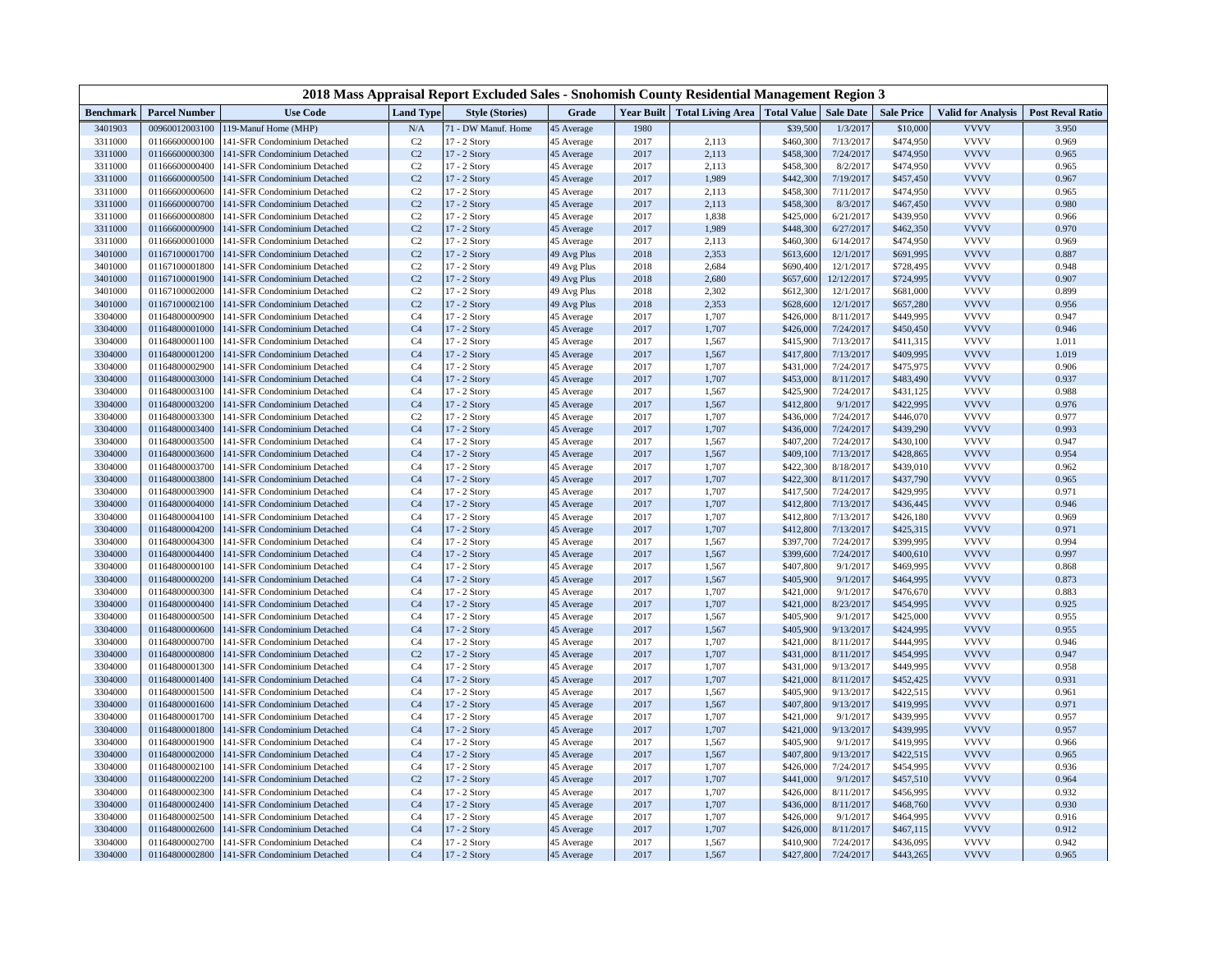| 2018 Mass Appraisal Report Excluded Sales - Snohomish County Residential Management Region 3 |                                  |                                                              |                                  |                              |                          |                   |                                                    |                        |                        |                        |                            |                         |
|----------------------------------------------------------------------------------------------|----------------------------------|--------------------------------------------------------------|----------------------------------|------------------------------|--------------------------|-------------------|----------------------------------------------------|------------------------|------------------------|------------------------|----------------------------|-------------------------|
| <b>Benchmark</b>                                                                             | <b>Parcel Number</b>             | <b>Use Code</b>                                              | Land Type                        | <b>Style (Stories)</b>       | Grade                    | <b>Year Built</b> | <b>Total Living Area   Total Value   Sale Date</b> |                        |                        | <b>Sale Price</b>      | <b>Valid for Analysis</b>  | <b>Post Reval Ratio</b> |
| 3401903                                                                                      | 00960012003100                   | 119-Manuf Home (MHP)                                         | N/A                              | 71 - DW Manuf. Home          | 45 Average               | 1980              |                                                    | \$39,500               | 1/3/2017               | \$10,000               | <b>VVVV</b>                | 3.950                   |
| 3311000                                                                                      | 01166600000100                   | 141-SFR Condominium Detached                                 | C <sub>2</sub>                   | 17 - 2 Story                 | 45 Average               | 2017              | 2,113                                              | \$460,300              | 7/13/2017              | \$474,950              | <b>VVVV</b>                | 0.969                   |
| 3311000                                                                                      | 01166600000300                   | 141-SFR Condominium Detached                                 | C <sub>2</sub>                   | 17 - 2 Story                 | 45 Average               | 2017              | 2,113                                              | \$458,300              | 7/24/2017              | \$474,950              | <b>VVVV</b>                | 0.965                   |
| 3311000                                                                                      | 01166600000400                   | 141-SFR Condominium Detached                                 | C <sub>2</sub>                   | 17 - 2 Story                 | 45 Average               | 2017              | 2,113                                              | \$458,300              | 8/2/2017               | \$474,950              | <b>VVVV</b>                | 0.965                   |
| 3311000                                                                                      | 01166600000500                   | 141-SFR Condominium Detached                                 | C2                               | 17 - 2 Story                 | 45 Average               | 2017              | 1,989                                              | \$442,300              | 7/19/2017              | \$457,450              | <b>VVVV</b>                | 0.967                   |
| 3311000                                                                                      | 01166600000600                   | 141-SFR Condominium Detached                                 | C <sub>2</sub>                   | 17 - 2 Story                 | 45 Average               | 2017              | 2,113                                              | \$458,300              | 7/11/2017              | \$474,950              | <b>VVVV</b>                | 0.965                   |
| 3311000                                                                                      | 01166600000700                   | 141-SFR Condominium Detached                                 | C <sub>2</sub>                   | 17 - 2 Story                 | 45 Average               | 2017              | 2,113                                              | \$458,300              | 8/3/201                | \$467,450              | <b>VVVV</b>                | 0.980                   |
| 3311000                                                                                      | 01166600000800                   | 141-SFR Condominium Detached                                 | C2                               | 17 - 2 Story                 | 45 Average               | 2017              | 1,838                                              | \$425,000              | 6/21/201               | \$439,950              | <b>VVVV</b>                | 0.966                   |
| 3311000                                                                                      | 01166600000900                   | 141-SFR Condominium Detached                                 | C <sub>2</sub>                   | 17 - 2 Story                 | 45 Average               | 2017              | 1,989                                              | \$448,300              | 6/27/2017              | \$462,350              | <b>VVVV</b>                | 0.970                   |
| 3311000                                                                                      | 01166600001000                   | 141-SFR Condominium Detached                                 | C <sub>2</sub>                   | 17 - 2 Story                 | 45 Average               | 2017              | 2,113                                              | \$460,300              | 6/14/2017              | \$474,950              | <b>VVVV</b>                | 0.969                   |
| 3401000                                                                                      | 01167100001700                   | 141-SFR Condominium Detached                                 | C <sub>2</sub>                   | 17 - 2 Story                 | 49 Avg Plus              | 2018              | 2,353                                              | \$613,600              | 12/1/2017              | \$691,995              | <b>VVVV</b>                | 0.887                   |
| 3401000                                                                                      | 01167100001800                   | 141-SFR Condominium Detached                                 | C2                               | 17 - 2 Story                 | 49 Avg Plus              | 2018              | 2,684                                              | \$690,400              | 12/1/2017              | \$728,495              | <b>VVVV</b>                | 0.948                   |
| 3401000                                                                                      | 01167100001900                   | 141-SFR Condominium Detached                                 | C <sub>2</sub>                   | 17 - 2 Story                 | 49 Avg Plus              | 2018              | 2,680                                              | \$657,600              | 12/12/2017             | \$724,995              | <b>VVVV</b>                | 0.907                   |
| 3401000                                                                                      | 01167100002000                   | 141-SFR Condominium Detached                                 | C <sub>2</sub>                   | 17 - 2 Story                 | 49 Avg Plus              | 2018              | 2,302                                              | \$612,30               | 12/1/2017              | \$681,000              | <b>VVVV</b>                | 0.899                   |
| 3401000                                                                                      | 01167100002100                   | 141-SFR Condominium Detached                                 | C2                               | 17 - 2 Story                 | 49 Avg Plus              | 2018              | 2,353                                              | \$628,600              | 12/1/2017              | \$657,280              | <b>VVVV</b>                | 0.956                   |
| 3304000                                                                                      | 01164800000900                   | 141-SFR Condominium Detached                                 | C <sub>4</sub>                   | 17 - 2 Story                 | 45 Average               | 2017              | 1,707                                              | \$426,000              | 8/11/2017              | \$449,995              | <b>VVVV</b>                | 0.947                   |
| 3304000                                                                                      | 01164800001000                   | 141-SFR Condominium Detached                                 | C <sub>4</sub>                   | 17 - 2 Story                 | 45 Average               | 2017              | 1,707                                              | \$426,000              | 7/24/2017              | \$450,450              | <b>VVVV</b>                | 0.946                   |
| 3304000                                                                                      | 01164800001100                   | 141-SFR Condominium Detached                                 | C <sub>4</sub>                   | 17 - 2 Story                 | 45 Average               | 2017              | 1,567                                              | \$415,900              | 7/13/201               | \$411,315              | <b>VVVV</b>                | 1.011                   |
| 3304000                                                                                      | 01164800001200                   | 141-SFR Condominium Detached                                 | C <sub>4</sub>                   | 17 - 2 Story                 | 45 Average               | 2017              | 1,567                                              | \$417,800              | 7/13/2017              | \$409,995              | <b>VVVV</b>                | 1.019                   |
| 3304000                                                                                      | 01164800002900                   | 141-SFR Condominium Detached                                 | C <sub>4</sub>                   | 17 - 2 Story                 | 45 Average               | 2017              | 1,707                                              | \$431,000              | 7/24/2017              | \$475,975              | <b>VVVV</b>                | 0.906                   |
| 3304000                                                                                      | 01164800003000                   | 141-SFR Condominium Detached                                 | C <sub>4</sub>                   | 17 - 2 Story                 | 45 Average               | 2017              | 1,707                                              | \$453,000              | 8/11/2017              | \$483,490              | <b>VVVV</b>                | 0.937                   |
| 3304000                                                                                      | 01164800003100                   | 141-SFR Condominium Detached                                 | C <sub>4</sub>                   | 17 - 2 Story                 | 45 Average               | 2017              | 1,567                                              | \$425,900              | 7/24/2017              | \$431,125              | <b>VVVV</b>                | 0.988                   |
| 3304000                                                                                      | 01164800003200                   | 141-SFR Condominium Detached                                 | C <sub>4</sub>                   | 17 - 2 Story                 | 45 Average               | 2017              | 1,567                                              | \$412,800              | 9/1/201                | \$422,995              | <b>VVVV</b>                | 0.976                   |
| 3304000                                                                                      | 01164800003300                   | 141-SFR Condominium Detached                                 | C2                               | 17 - 2 Story                 | 45 Average               | 2017              | 1,707                                              | \$436,000              | 7/24/2017              | \$446,070              | <b>VVVV</b>                | 0.977                   |
| 3304000                                                                                      | 01164800003400                   | 141-SFR Condominium Detached                                 | C <sub>4</sub>                   | 17 - 2 Story                 | 45 Average               | 2017              | 1,707                                              | \$436,000              | 7/24/2017              | \$439,290              | <b>VVVV</b>                | 0.993                   |
| 3304000                                                                                      | 01164800003500                   | 141-SFR Condominium Detached                                 | C <sub>4</sub>                   | 17 - 2 Story                 | 45 Average               | 2017              | 1,567                                              | \$407,200              | 7/24/2017              | \$430,100              | <b>VVVV</b>                | 0.947                   |
| 3304000                                                                                      | 01164800003600                   | 141-SFR Condominium Detached                                 | C <sub>4</sub>                   | 17 - 2 Story                 | 45 Average               | 2017              | 1,567                                              | \$409,100              | 7/13/2017              | \$428,865              | <b>VVVV</b>                | 0.954                   |
| 3304000                                                                                      | 01164800003700                   | 141-SFR Condominium Detached                                 | C <sub>4</sub>                   | 17 - 2 Story                 | 45 Average               | 2017              | 1,707                                              | \$422,300              | 8/18/2017              | \$439,010              | <b>VVVV</b>                | 0.962                   |
| 3304000                                                                                      | 01164800003800                   | 141-SFR Condominium Detached                                 | C <sub>4</sub>                   | 17 - 2 Story                 | 45 Average               | 2017              | 1,707                                              | \$422,300              | 8/11/2017              | \$437,790              | <b>VVVV</b>                | 0.965                   |
| 3304000                                                                                      | 01164800003900                   | 141-SFR Condominium Detached                                 | C <sub>4</sub>                   | 17 - 2 Story                 | 45 Average               | 2017              | 1,707                                              | \$417,500              | 7/24/2017              | \$429,995              | <b>VVVV</b>                | 0.971                   |
| 3304000                                                                                      | 01164800004000                   | 141-SFR Condominium Detached                                 | C <sub>4</sub>                   | 17 - 2 Story                 | 45 Average               | 2017              | 1,707                                              | \$412,800              | 7/13/2017              | \$436,445              | <b>VVVV</b>                | 0.946                   |
| 3304000                                                                                      | 01164800004100                   | 141-SFR Condominium Detached                                 | C <sub>4</sub>                   | 17 - 2 Story                 | 45 Average               | 2017              | 1,707                                              | \$412,800              | 7/13/2017              | \$426,180              | <b>VVVV</b>                | 0.969                   |
| 3304000                                                                                      | 01164800004200                   | 141-SFR Condominium Detached                                 | C <sub>4</sub>                   | 17 - 2 Story                 | 45 Average               | 2017              | 1,707                                              | \$412,800              | 7/13/2017              | \$425,315              | <b>VVVV</b>                | 0.971                   |
| 3304000                                                                                      | 01164800004300                   | 141-SFR Condominium Detached                                 | C <sub>4</sub>                   | 17 - 2 Story                 | 45 Average               | 2017              | 1,567                                              | \$397,700              | 7/24/2017              | \$399,995              | <b>VVVV</b>                | 0.994                   |
| 3304000                                                                                      | 01164800004400                   | 141-SFR Condominium Detached                                 | C <sub>4</sub>                   | 17 - 2 Story                 | 45 Average               | 2017              | 1,567                                              | \$399,60               | 7/24/2017              | \$400,610              | <b>VVVV</b>                | 0.997                   |
| 3304000                                                                                      | 01164800000100                   | 141-SFR Condominium Detached                                 | C <sub>4</sub>                   | 17 - 2 Story                 | 45 Average               | 2017              | 1,567                                              | \$407,80               | 9/1/201                | \$469,995              | <b>VVVV</b>                | 0.868                   |
| 3304000                                                                                      | 01164800000200                   | 141-SFR Condominium Detached                                 | C <sub>4</sub>                   | 17 - 2 Story                 | 45 Average               | 2017              | 1,567                                              | \$405,900              | 9/1/2017               | \$464,995              | <b>VVVV</b>                | 0.873                   |
| 3304000                                                                                      | 01164800000300                   | 141-SFR Condominium Detached                                 | C <sub>4</sub>                   | 17 - 2 Story                 | 45 Average               | 2017              | 1,707                                              | \$421,000<br>\$421,000 | 9/1/201'<br>8/23/2017  | \$476,670              | <b>VVVV</b><br><b>VVVV</b> | 0.883<br>0.925          |
| 3304000                                                                                      | 01164800000400                   | 141-SFR Condominium Detached                                 | C <sub>4</sub>                   | 17 - 2 Story                 | 45 Average               | 2017              | 1,707                                              |                        |                        | \$454,995              |                            |                         |
| 3304000                                                                                      | 01164800000500                   | 141-SFR Condominium Detached                                 | C <sub>4</sub><br>C <sub>4</sub> | 17 - 2 Story<br>17 - 2 Story | 45 Average               | 2017              | 1,567                                              | \$405,900              | 9/1/201                | \$425,000              | <b>VVVV</b><br><b>VVVV</b> | 0.955                   |
| 3304000<br>3304000                                                                           | 01164800000600<br>01164800000700 | 141-SFR Condominium Detached                                 |                                  |                              | 45 Average               | 2017              | 1,567                                              | \$405,900<br>\$421,000 | 9/13/2017<br>8/11/2017 | \$424,995<br>\$444,995 | <b>VVVV</b>                | 0.955<br>0.946          |
|                                                                                              |                                  | 141-SFR Condominium Detached                                 | C <sub>4</sub>                   | 17 - 2 Story                 | 45 Average               | 2017              | 1,707                                              |                        |                        |                        | <b>VVVV</b>                |                         |
| 3304000<br>3304000                                                                           | 01164800000800<br>01164800001300 | 141-SFR Condominium Detached<br>141-SFR Condominium Detached | C2<br>C <sub>4</sub>             | 17 - 2 Story<br>17 - 2 Story | 45 Average               | 2017<br>2017      | 1,707                                              | \$431,000<br>\$431,000 | 8/11/2017<br>9/13/2017 | \$454,995<br>\$449,995 | <b>VVVV</b>                | 0.947<br>0.958          |
| 3304000                                                                                      | 01164800001400                   | 141-SFR Condominium Detached                                 | C <sub>4</sub>                   | 17 - 2 Story                 | 45 Average               | 2017              | 1,707<br>1,707                                     | \$421,000              | 8/11/2017              | \$452,425              | <b>VVVV</b>                | 0.931                   |
| 3304000                                                                                      | 01164800001500                   |                                                              | C <sub>4</sub>                   |                              | 45 Average               | 2017              | 1,567                                              | \$405,900              | 9/13/201               | \$422,515              | <b>VVVV</b>                | 0.961                   |
| 3304000                                                                                      | 01164800001600                   | 141-SFR Condominium Detached<br>141-SFR Condominium Detached | C <sub>4</sub>                   | 17 - 2 Story                 | 45 Average               | 2017              |                                                    | \$407,800              | 9/13/2017              | \$419,995              | <b>VVVV</b>                | 0.971                   |
|                                                                                              | 01164800001700                   |                                                              |                                  | 17 - 2 Story                 | 45 Average               |                   | 1,567                                              |                        |                        |                        | <b>VVVV</b>                |                         |
| 3304000<br>3304000                                                                           | 01164800001800                   | 141-SFR Condominium Detached<br>141-SFR Condominium Detached | C <sub>4</sub><br>C <sub>4</sub> | 17 - 2 Story<br>17 - 2 Story | 45 Average<br>45 Average | 2017<br>2017      | 1,707<br>1,707                                     | \$421,000<br>\$421,000 | 9/1/2017<br>9/13/2017  | \$439,995<br>\$439,995 | <b>VVVV</b>                | 0.957<br>0.957          |
| 3304000                                                                                      | 01164800001900                   | 141-SFR Condominium Detached                                 | C <sub>4</sub>                   | 17 - 2 Story                 |                          | 2017              | 1,567                                              | \$405,900              | 9/1/201                |                        | <b>VVVV</b>                | 0.966                   |
| 3304000                                                                                      | 01164800002000                   | 141-SFR Condominium Detached                                 | C <sub>4</sub>                   | 17 - 2 Story                 | 45 Average<br>45 Average | 2017              | 1,567                                              | \$407,800              | 9/13/2017              | \$419,995<br>\$422,515 | <b>VVVV</b>                | 0.965                   |
| 3304000                                                                                      | 01164800002100                   | 141-SFR Condominium Detached                                 | C <sub>4</sub>                   | 17 - 2 Story                 | 45 Average               | 2017              | 1,707                                              | \$426,000              | 7/24/2017              | \$454,995              | <b>VVVV</b>                | 0.936                   |
| 3304000                                                                                      | 01164800002200                   | 141-SFR Condominium Detached                                 | C <sub>2</sub>                   | 17 - 2 Story                 |                          | 2017              | 1,707                                              | \$441,000              | 9/1/2017               | \$457,510              | <b>VVVV</b>                | 0.964                   |
| 3304000                                                                                      | 01164800002300                   | 141-SFR Condominium Detached                                 | C <sub>4</sub>                   | 17 - 2 Story                 | 45 Average<br>45 Average | 2017              | 1,707                                              | \$426,000              | 8/11/2017              | \$456,995              | <b>VVVV</b>                | 0.932                   |
| 3304000                                                                                      | 01164800002400                   | 141-SFR Condominium Detached                                 | C <sub>4</sub>                   | 17 - 2 Story                 | 45 Average               | 2017              | 1,707                                              | \$436,000              | 8/11/2017              | \$468,760              | <b>VVVV</b>                | 0.930                   |
| 3304000                                                                                      | 01164800002500                   | 141-SFR Condominium Detached                                 | C <sub>4</sub>                   | 17 - 2 Story                 | 45 Average               | 2017              | 1,707                                              | \$426,000              | 9/1/201                | \$464,995              | <b>VVVV</b>                | 0.916                   |
| 3304000                                                                                      | 01164800002600                   | 141-SFR Condominium Detached                                 | C <sub>4</sub>                   | 17 - 2 Story                 | 45 Average               | 2017              | 1,707                                              | \$426,00               | 8/11/201               | \$467,115              | <b>VVVV</b>                | 0.912                   |
| 3304000                                                                                      | 01164800002700                   | 141-SFR Condominium Detached                                 | C <sub>4</sub>                   | 17 - 2 Story                 | 45 Average               | 2017              | 1,567                                              | \$410,900              | 7/24/2017              | \$436,095              | <b>VVVV</b>                | 0.942                   |
| 3304000                                                                                      | 01164800002800                   | 141-SFR Condominium Detached                                 | C <sub>4</sub>                   | 17 - 2 Story                 | 45 Average               | 2017              | 1,567                                              | \$427,800              | 7/24/2017              | \$443,265              | <b>VVVV</b>                | 0.965                   |
|                                                                                              |                                  |                                                              |                                  |                              |                          |                   |                                                    |                        |                        |                        |                            |                         |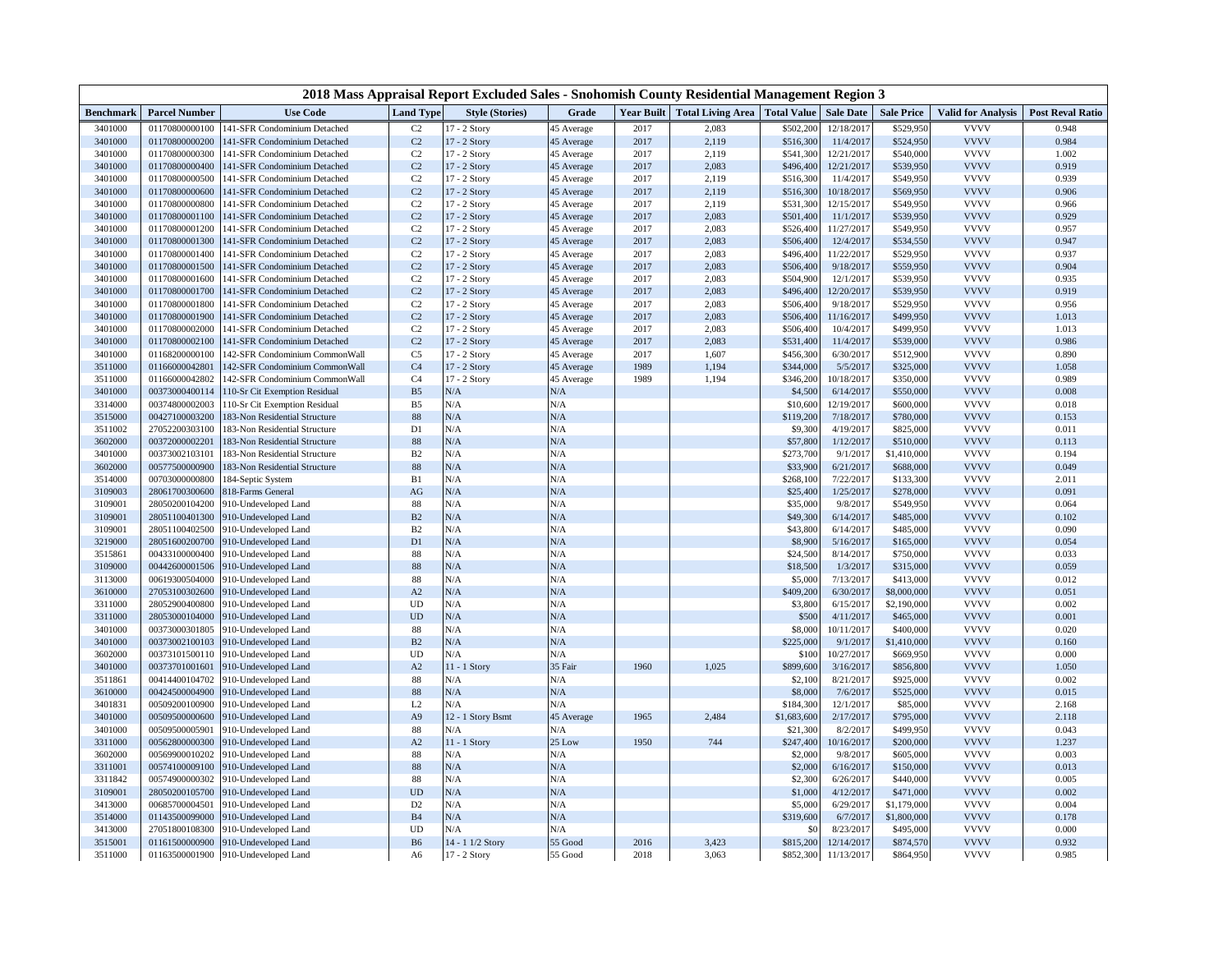| 2018 Mass Appraisal Report Excluded Sales - Snohomish County Residential Management Region 3 |                                  |                                              |                  |                        |            |                   |                                      |                      |                        |                          |                            |                         |
|----------------------------------------------------------------------------------------------|----------------------------------|----------------------------------------------|------------------|------------------------|------------|-------------------|--------------------------------------|----------------------|------------------------|--------------------------|----------------------------|-------------------------|
| <b>Benchmark</b>                                                                             | <b>Parcel Number</b>             | <b>Use Code</b>                              | <b>Land Type</b> | <b>Style (Stories)</b> | Grade      | <b>Year Built</b> | <b>Total Living Area</b> Total Value |                      | <b>Sale Date</b>       | <b>Sale Price</b>        | <b>Valid for Analysis</b>  | <b>Post Reval Ratio</b> |
| 3401000                                                                                      | 01170800000100                   | 141-SFR Condominium Detached                 | C2               | 17 - 2 Story           | 45 Average | 2017              | 2,083                                | \$502,200            | 12/18/2017             | \$529,950                | <b>VVVV</b>                | 0.948                   |
| 3401000                                                                                      | 01170800000200                   | 141-SFR Condominium Detached                 | C2               | 17 - 2 Story           | 45 Average | 2017              | 2,119                                | \$516,300            | 11/4/2017              | \$524,950                | <b>VVVV</b>                | 0.984                   |
| 3401000                                                                                      | 01170800000300                   | 141-SFR Condominium Detached                 | C2               | 17 - 2 Story           | 45 Average | 2017              | 2,119                                | \$541,300            | 12/21/2017             | \$540,000                | <b>VVVV</b>                | 1.002                   |
| 3401000                                                                                      | 01170800000400                   | 141-SFR Condominium Detached                 | C <sub>2</sub>   | 17 - 2 Story           | 45 Average | 2017              | 2,083                                | \$496,400            | 12/21/2017             | \$539,950                | <b>VVVV</b>                | 0.919                   |
| 3401000                                                                                      | 01170800000500                   | 141-SFR Condominium Detached                 | C <sub>2</sub>   | 17 - 2 Story           | 45 Average | 2017              | 2,119                                | \$516,300            | 11/4/2017              | \$549,950                | <b>VVVV</b>                | 0.939                   |
| 3401000                                                                                      | 01170800000600                   | 141-SFR Condominium Detached                 | $\rm C2$         | 17 - 2 Story           | 45 Average | 2017              | 2,119                                | \$516,300            | 10/18/2017             | \$569,950                | <b>VVVV</b>                | 0.906                   |
| 3401000                                                                                      | 01170800000800                   | 141-SFR Condominium Detached                 | C2               | 17 - 2 Story           | 45 Average | 2017              | 2,119                                | \$531,300            | 12/15/2017             | \$549,950                | <b>VVVV</b>                | 0.966                   |
| 3401000                                                                                      | 01170800001100                   | 141-SFR Condominium Detached                 | C <sub>2</sub>   | 17 - 2 Story           | 45 Average | 2017              | 2,083                                | \$501,400            | 11/1/2017              | \$539,950                | <b>VVVV</b>                | 0.929                   |
| 3401000                                                                                      | 01170800001200                   | 141-SFR Condominium Detached                 | C <sub>2</sub>   | 17 - 2 Story           | 45 Average | 2017              | 2,083                                | \$526,400            | 11/27/2017             | \$549,950                | <b>VVVV</b>                | 0.957                   |
| 3401000                                                                                      | 01170800001300                   | 141-SFR Condominium Detached                 | C <sub>2</sub>   | 17 - 2 Story           | 45 Average | 2017              | 2,083                                | \$506,400            | 12/4/2017              | \$534,550                | <b>VVVV</b>                | 0.947                   |
| 3401000                                                                                      | 01170800001400                   | 141-SFR Condominium Detached                 | C2               | 17 - 2 Story           | 45 Average | 2017              | 2,083                                | \$496,400            | 11/22/2017             | \$529,950                | <b>VVVV</b>                | 0.937                   |
| 3401000                                                                                      | 01170800001500                   | 141-SFR Condominium Detached                 | $\rm C2$         | 17 - 2 Story           | 45 Average | 2017              | 2,083                                | \$506,400            | 9/18/2017              | \$559,950                | <b>VVVV</b>                | 0.904                   |
| 3401000                                                                                      | 01170800001600                   | 141-SFR Condominium Detached                 | C2               | 17 - 2 Story           | 45 Average | 2017              | 2,083                                | \$504,900            | 12/1/2017              | \$539,950                | <b>VVVV</b><br><b>VVVV</b> | 0.935                   |
| 3401000                                                                                      | 01170800001700                   | 141-SFR Condominium Detached                 | $\rm C2$         | 17 - 2 Story           | 45 Average | 2017              | 2,083                                | \$496,400            | 12/20/2017             | \$539,950                |                            | 0.919                   |
| 3401000                                                                                      | 01170800001800                   | 141-SFR Condominium Detached                 | C <sub>2</sub>   | 17 - 2 Story           | 45 Average | 2017              | 2,083                                | \$506,400            | 9/18/201'              | \$529,950                | <b>VVVV</b><br><b>VVVV</b> | 0.956                   |
| 3401000                                                                                      | 01170800001900                   | 141-SFR Condominium Detached                 | C2               | 17 - 2 Story           | 45 Average | 2017              | 2,083                                | \$506,400            | 11/16/2017             | \$499,950                |                            | 1.013                   |
| 3401000                                                                                      | 01170800002000                   | 141-SFR Condominium Detached                 | C2               | 17 - 2 Story           | 45 Average | 2017              | 2,083                                | \$506,400            | 10/4/2017              | \$499,950                | <b>VVVV</b>                | 1.013                   |
| 3401000                                                                                      | 01170800002100                   | 141-SFR Condominium Detached                 | C <sub>2</sub>   | 17 - 2 Story           | 45 Average | 2017              | 2,083                                | \$531,400            | 11/4/2017              | \$539,000                | <b>VVVV</b>                | 0.986                   |
| 3401000                                                                                      | 01168200000100                   | 142-SFR Condominium CommonWall               | C <sub>5</sub>   | 17 - 2 Story           | 45 Average | 2017              | 1,607                                | \$456,300            | 6/30/2017              | \$512,900                | <b>VVVV</b><br><b>VVVV</b> | 0.890                   |
| 3511000                                                                                      | 01166000042801                   | 142-SFR Condominium CommonWall               | C <sub>4</sub>   | 17 - 2 Story           | 45 Average | 1989              | 1,194                                | \$344,000            | 5/5/2017               | \$325,000                |                            | 1.058                   |
| 3511000                                                                                      | 01166000042802                   | 142-SFR Condominium CommonWall               | C <sub>4</sub>   | 17 - 2 Story           | 45 Average | 1989              | 1,194                                | \$346,200            | 10/18/2017             | \$350,000                | <b>VVVV</b>                | 0.989                   |
| 3401000                                                                                      | 00373000400114                   | 110-Sr Cit Exemption Residual                | B <sub>5</sub>   | N/A                    | $\rm N/A$  |                   |                                      | \$4,500              | 6/14/2017              | \$550,000                | <b>VVVV</b><br><b>VVVV</b> | 0.008                   |
| 3314000                                                                                      | 00374800002003                   | 110-Sr Cit Exemption Residual                | B <sub>5</sub>   | N/A                    | N/A        |                   |                                      | \$10,600             | 12/19/2017             | \$600,000                |                            | 0.018                   |
| 3515000                                                                                      | 00427100003200                   | 183-Non Residential Structure                | 88               | N/A                    | N/A        |                   |                                      | \$119,200            | 7/18/2017              | \$780,000                | <b>VVVV</b>                | 0.153                   |
| 3511002                                                                                      | 27052200303100                   | 183-Non Residential Structure                | D1               | N/A                    | N/A        |                   |                                      | \$9,300              | 4/19/2017              | \$825,000                | <b>VVVV</b>                | 0.011                   |
| 3602000                                                                                      | 00372000002201                   | 183-Non Residential Structure                | 88               | N/A                    | $\rm N/A$  |                   |                                      | \$57,800             | 1/12/2017              | \$510,000                | <b>VVVV</b><br><b>VVVV</b> | 0.113                   |
| 3401000                                                                                      | 00373002103101                   | 183-Non Residential Structure                | B2               | N/A                    | N/A        |                   |                                      | \$273,700            | 9/1/201                | \$1,410,000              |                            | 0.194                   |
| 3602000                                                                                      | 00577500000900                   | 183-Non Residential Structure                | 88               | N/A                    | N/A        |                   |                                      | \$33,900             | 6/21/201               | \$688,000                | <b>VVVV</b>                | 0.049                   |
| 3514000                                                                                      | 00703000000800                   | 184-Septic System                            | B1               | N/A                    | N/A        |                   |                                      | \$268,100            | 7/22/2011              | \$133,300                | <b>VVVV</b><br><b>VVVV</b> | 2.011                   |
| 3109003                                                                                      | 28061700300600                   | 818-Farms General                            | AG               | N/A                    | N/A        |                   |                                      | \$25,400             | 1/25/2017              | \$278,000                |                            | 0.091                   |
| 3109001                                                                                      | 28050200104200                   | 910-Undeveloped Land                         | 88               | N/A<br>N/A             | N/A        |                   |                                      | \$35,000             | 9/8/2017               | \$549,950                | <b>VVVV</b><br><b>VVVV</b> | 0.064                   |
| 3109001                                                                                      | 28051100401300                   | 910-Undeveloped Land                         | B2               | N/A                    | N/A<br>N/A |                   |                                      | \$49,300             | 6/14/2017              | \$485,000                | <b>VVVV</b>                | 0.102                   |
| 3109001                                                                                      | 28051100402500                   | 910-Undeveloped Land                         | B2               | N/A                    |            |                   |                                      | \$43,800             | 6/14/2017              | \$485,000                | <b>VVVV</b>                | 0.090<br>0.054          |
| 3219000                                                                                      | 28051600200700                   | 910-Undeveloped Land                         | D1               |                        | N/A        |                   |                                      | \$8,900              | 5/16/2017              | \$165,000                | <b>VVVV</b>                |                         |
| 3515861                                                                                      | 00433100000400                   | 910-Undeveloped Land                         | 88               | N/A<br>N/A             | N/A        |                   |                                      | \$24,500             | 8/14/2017              | \$750,000                | <b>VVVV</b>                | 0.033                   |
| 3109000                                                                                      | 00442600001506                   | 910-Undeveloped Land                         | 88               |                        | $\rm N/A$  |                   |                                      | \$18,500             | 1/3/2017               | \$315,000                | <b>VVVV</b>                | 0.059                   |
| 3113000                                                                                      | 00619300504000                   | 910-Undeveloped Land                         | 88               | N/A<br>N/A             | N/A<br>N/A |                   |                                      | \$5,000              | 7/13/2017<br>6/30/2017 | \$413,000                | <b>VVVV</b>                | 0.012<br>0.051          |
| 3610000<br>3311000                                                                           | 27053100302600<br>28052900400800 | 910-Undeveloped Land                         | A2<br>UD         | N/A                    | N/A        |                   |                                      | \$409,200<br>\$3,800 | 6/15/201               | \$8,000,000              | <b>VVVV</b>                | 0.002                   |
| 3311000                                                                                      | 28053000104000                   | 910-Undeveloped Land<br>010-Undeveloped Land | <b>UD</b>        | N/A                    | N/A        |                   |                                      | \$500                | 4/11/201'              | \$2,190,000<br>\$465,000 | <b>VVVV</b>                | 0.001                   |
| 3401000                                                                                      | 00373000301805                   | 910-Undeveloped Land                         | 88               | N/A                    | N/A        |                   |                                      | \$8,000              | 10/11/2017             | \$400,000                | <b>VVVV</b>                | 0.020                   |
| 3401000                                                                                      | 00373002100103                   | 910-Undeveloped Land                         | B2               | N/A                    | N/A        |                   |                                      | \$225,000            | 9/1/201                | \$1,410,000              | <b>VVVV</b>                | 0.160                   |
| 3602000                                                                                      | 00373101500110                   | 910-Undeveloped Land                         | UD               | N/A                    | N/A        |                   |                                      | \$100                | 10/27/2017             | \$669,950                | <b>VVVV</b>                | 0.000                   |
| 3401000                                                                                      | 00373701001601                   | 910-Undeveloped Land                         | A2               | 11 - 1 Story           | 35 Fair    | 1960              | 1,025                                | \$899,600            | 3/16/2017              | \$856,800                | <b>VVVV</b>                | 1.050                   |
| 3511861                                                                                      | 00414400104702                   | 910-Undeveloped Land                         | 88               | N/A                    | N/A        |                   |                                      | \$2,100              | 8/21/2017              | \$925,000                | <b>VVVV</b>                | 0.002                   |
| 3610000                                                                                      | 00424500004900                   | 910-Undeveloped Land                         | 88               | N/A                    | N/A        |                   |                                      | \$8,000              | 7/6/2017               | \$525,000                | <b>VVVV</b>                | 0.015                   |
| 3401831                                                                                      | 00509200100900                   | 910-Undeveloped Land                         | L <sub>2</sub>   | N/A                    | N/A        |                   |                                      | \$184,300            | 12/1/2017              | \$85,000                 | <b>VVVV</b>                | 2.168                   |
| 3401000                                                                                      | 00509500000600                   | 910-Undeveloped Land                         | A <sub>9</sub>   | 12 - 1 Story Bsmt      | 45 Average | 1965              | 2,484                                | \$1,683,600          | 2/17/2017              | \$795,000                | <b>VVVV</b>                | 2.118                   |
| 3401000                                                                                      | 00509500005901                   | 910-Undeveloped Land                         | 88               | N/A                    | N/A        |                   |                                      | \$21,300             | 8/2/2017               | \$499,950                | <b>VVVV</b>                | 0.043                   |
| 3311000                                                                                      | 00562800000300                   | 010-Undeveloped Land                         | A2               | $11 - 1$ Story         | 25 Low     | 1950              | 744                                  | \$247,400            | 10/16/2017             | \$200,000                | <b>VVVV</b>                | 1.237                   |
| 3602000                                                                                      | 00569900010202                   | 910-Undeveloped Land                         | 88               | N/A                    | N/A        |                   |                                      | \$2,000              | 9/8/2017               | \$605,000                | <b>VVVV</b>                | 0.003                   |
| 3311001                                                                                      | 00574100009100                   | 910-Undeveloped Land                         | 88               | N/A                    | N/A        |                   |                                      | \$2,000              | 6/16/2017              | \$150,000                | <b>VVVV</b>                | 0.013                   |
| 3311842                                                                                      | 00574900000302                   | 910-Undeveloped Land                         | 88               | N/A                    | N/A        |                   |                                      | \$2,300              | 6/26/201               | \$440,000                | <b>VVVV</b>                | 0.005                   |
| 3109001                                                                                      | 28050200105700                   | 910-Undeveloped Land                         | <b>UD</b>        | N/A                    | N/A        |                   |                                      | \$1,000              | 4/12/2017              | \$471,000                | <b>VVVV</b>                | 0.002                   |
| 3413000                                                                                      | 00685700004501                   | 910-Undeveloped Land                         | D2               | N/A                    | N/A        |                   |                                      | \$5,000              | 6/29/2011              | \$1,179,000              | <b>VVVV</b>                | 0.004                   |
| 3514000                                                                                      | 01143500099000                   | 910-Undeveloped Land                         | B <sub>4</sub>   | N/A                    | N/A        |                   |                                      | \$319,600            | 6/7/2017               | \$1,800,000              | <b>VVVV</b>                | 0.178                   |
| 3413000                                                                                      | 27051800108300                   | 910-Undeveloped Land                         | <b>UD</b>        | N/A                    | N/A        |                   |                                      | \$0                  | 8/23/2017              | \$495,000                | <b>VVVV</b>                | 0.000                   |
| 3515001                                                                                      | 01161500000900                   | 910-Undeveloped Land                         | B <sub>6</sub>   | 14 - 1 1/2 Story       | 55 Good    | 2016              | 3,423                                | \$815,200            | 12/14/2017             | \$874,570                | <b>VVVV</b>                | 0.932                   |
| 3511000                                                                                      | 01163500001900                   | 910-Undeveloped Land                         | A6               | 17 - 2 Story           | 55 Good    | 2018              | 3,063                                | \$852,300            | 11/13/2017             | \$864,950                | <b>VVVV</b>                | 0.985                   |